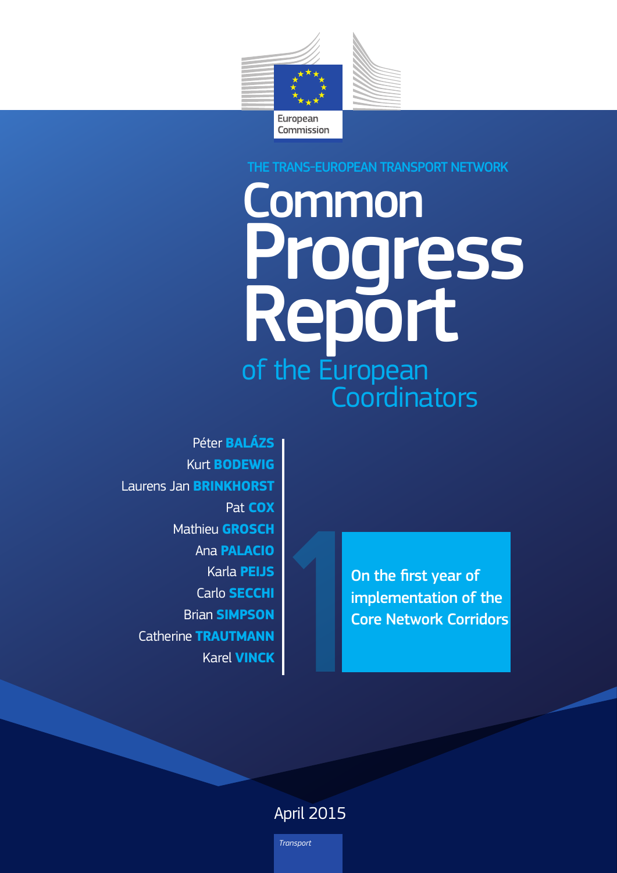

## THE TRANS-EUROPEAN TRANSPORT NETWORK

# Common **Progress**<br>Report of the European Coordinators

Péter **BALÁZS Kurt BODEWIG Laurens Jan BRINKHORST** Pat COX **Mathieu GROSCH** Ana **PALACIO Karla PEIJS** Carlo **SECCHI Brian SIMPSON Catherine TRAUTMANN Karel VINCK** 

On the first year of implementation of the **Core Network Corridors** 

# **April 2015**

Transport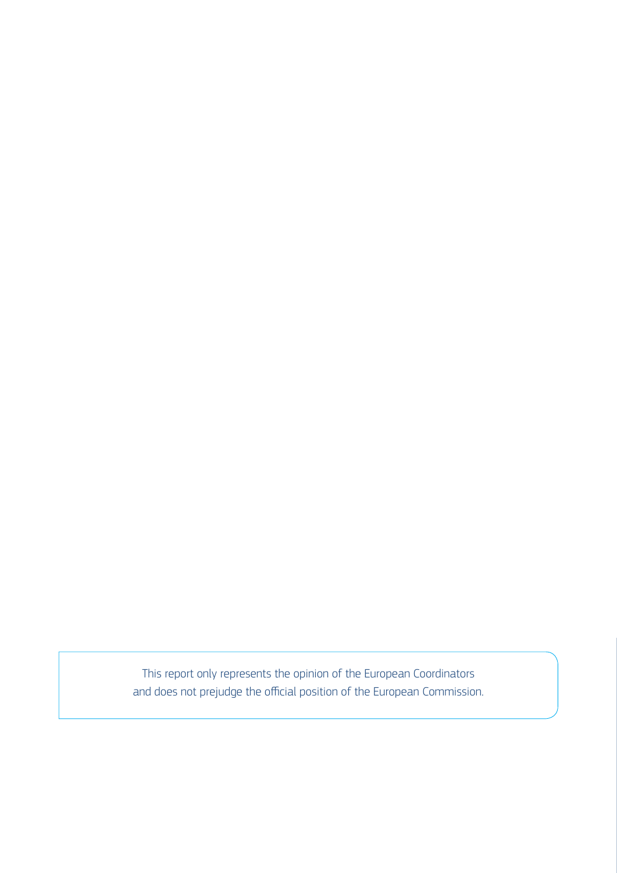This report only represents the opinion of the European Coordinators and does not prejudge the official position of the European Commission.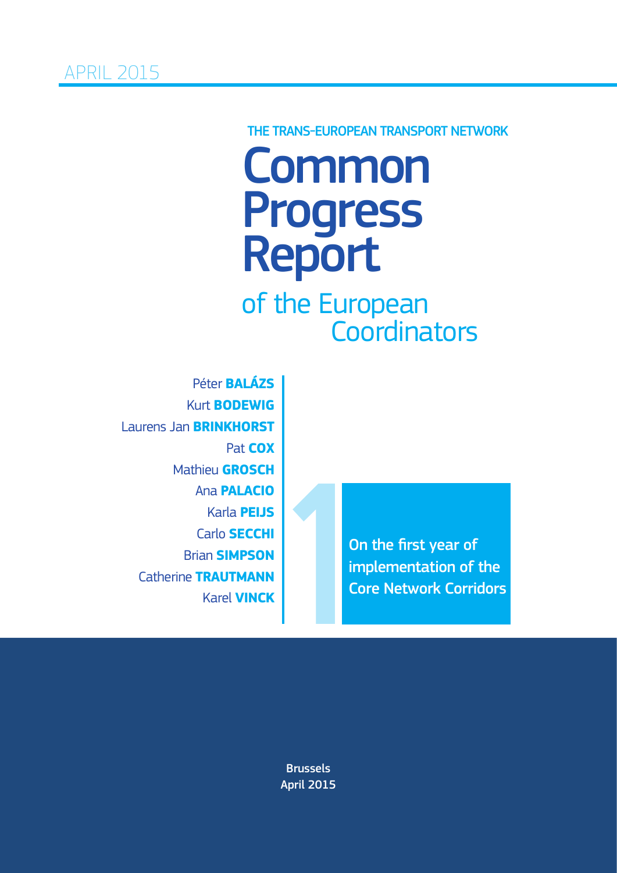# Common<br>Progress Report THE TRANS-EUROPEAN TRANSPORT NETWORK

of the European **Coordinators** 

Péter **BALÁZS** Kurt **BODEWIG** Laurens Jan **BRINKHORST** Pat **COX** Mathieu **GROSCH** Ana **PALACIO** Karla **PEIJS** Carlo **SECCHI** Brian **SIMPSON** Catherine **TRAUTMANN** Karel **VINCK**

On the first year of On the first year of<br>implementation of the<br>Core Network Corridors

Brussels April 2015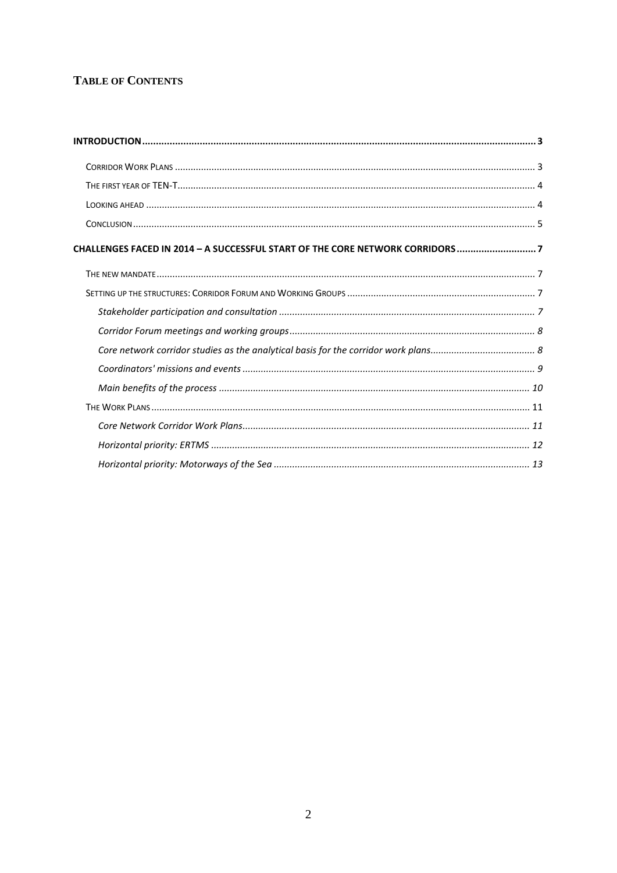### **TABLE OF CONTENTS**

| CHALLENGES FACED IN 2014 - A SUCCESSFUL START OF THE CORE NETWORK CORRIDORS 7 |  |
|-------------------------------------------------------------------------------|--|
|                                                                               |  |
|                                                                               |  |
|                                                                               |  |
|                                                                               |  |
|                                                                               |  |
|                                                                               |  |
|                                                                               |  |
|                                                                               |  |
|                                                                               |  |
|                                                                               |  |
|                                                                               |  |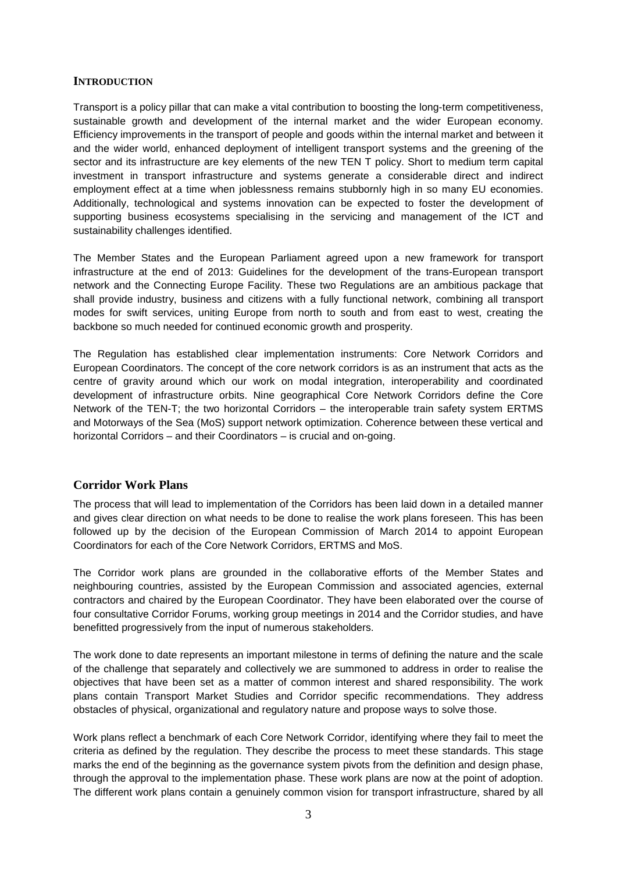#### <span id="page-4-0"></span>**INTRODUCTION**

Transport is a policy pillar that can make a vital contribution to boosting the long-term competitiveness, sustainable growth and development of the internal market and the wider European economy. Efficiency improvements in the transport of people and goods within the internal market and between it and the wider world, enhanced deployment of intelligent transport systems and the greening of the sector and its infrastructure are key elements of the new TEN T policy. Short to medium term capital investment in transport infrastructure and systems generate a considerable direct and indirect employment effect at a time when joblessness remains stubbornly high in so many EU economies. Additionally, technological and systems innovation can be expected to foster the development of supporting business ecosystems specialising in the servicing and management of the ICT and sustainability challenges identified.

The Member States and the European Parliament agreed upon a new framework for transport infrastructure at the end of 2013: Guidelines for the development of the trans-European transport network and the Connecting Europe Facility. These two Regulations are an ambitious package that shall provide industry, business and citizens with a fully functional network, combining all transport modes for swift services, uniting Europe from north to south and from east to west, creating the backbone so much needed for continued economic growth and prosperity.

The Regulation has established clear implementation instruments: Core Network Corridors and European Coordinators. The concept of the core network corridors is as an instrument that acts as the centre of gravity around which our work on modal integration, interoperability and coordinated development of infrastructure orbits. Nine geographical Core Network Corridors define the Core Network of the TEN-T; the two horizontal Corridors – the interoperable train safety system ERTMS and Motorways of the Sea (MoS) support network optimization. Coherence between these vertical and horizontal Corridors – and their Coordinators – is crucial and on-going.

#### <span id="page-4-1"></span>**Corridor Work Plans**

The process that will lead to implementation of the Corridors has been laid down in a detailed manner and gives clear direction on what needs to be done to realise the work plans foreseen. This has been followed up by the decision of the European Commission of March 2014 to appoint European Coordinators for each of the Core Network Corridors, ERTMS and MoS.

The Corridor work plans are grounded in the collaborative efforts of the Member States and neighbouring countries, assisted by the European Commission and associated agencies, external contractors and chaired by the European Coordinator. They have been elaborated over the course of four consultative Corridor Forums, working group meetings in 2014 and the Corridor studies, and have benefitted progressively from the input of numerous stakeholders.

The work done to date represents an important milestone in terms of defining the nature and the scale of the challenge that separately and collectively we are summoned to address in order to realise the objectives that have been set as a matter of common interest and shared responsibility. The work plans contain Transport Market Studies and Corridor specific recommendations. They address obstacles of physical, organizational and regulatory nature and propose ways to solve those.

Work plans reflect a benchmark of each Core Network Corridor, identifying where they fail to meet the criteria as defined by the regulation. They describe the process to meet these standards. This stage marks the end of the beginning as the governance system pivots from the definition and design phase, through the approval to the implementation phase. These work plans are now at the point of adoption. The different work plans contain a genuinely common vision for transport infrastructure, shared by all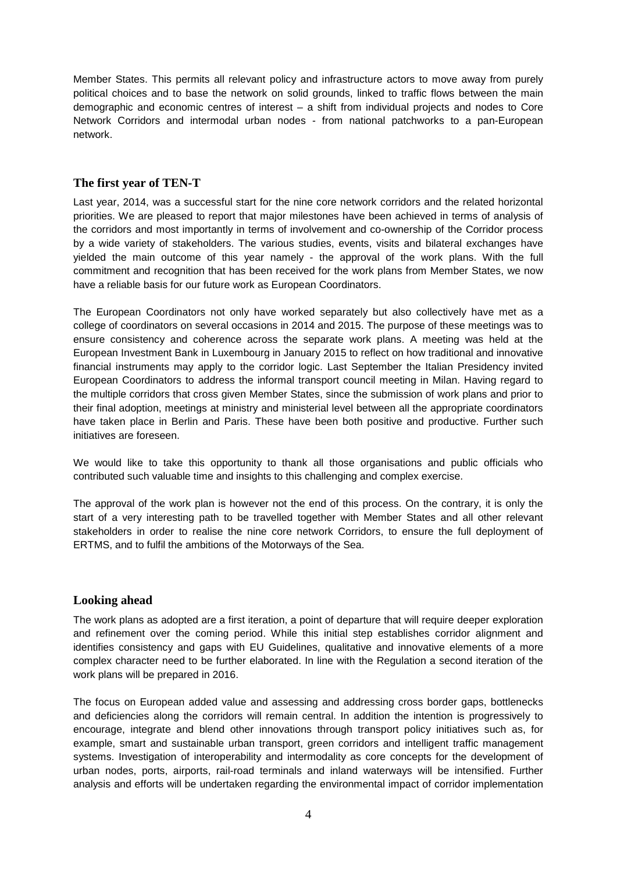Member States. This permits all relevant policy and infrastructure actors to move away from purely political choices and to base the network on solid grounds, linked to traffic flows between the main demographic and economic centres of interest – a shift from individual projects and nodes to Core Network Corridors and intermodal urban nodes - from national patchworks to a pan-European network.

#### <span id="page-5-0"></span>**The first year of TEN-T**

Last year, 2014, was a successful start for the nine core network corridors and the related horizontal priorities. We are pleased to report that major milestones have been achieved in terms of analysis of the corridors and most importantly in terms of involvement and co-ownership of the Corridor process by a wide variety of stakeholders. The various studies, events, visits and bilateral exchanges have yielded the main outcome of this year namely - the approval of the work plans. With the full commitment and recognition that has been received for the work plans from Member States, we now have a reliable basis for our future work as European Coordinators.

The European Coordinators not only have worked separately but also collectively have met as a college of coordinators on several occasions in 2014 and 2015. The purpose of these meetings was to ensure consistency and coherence across the separate work plans. A meeting was held at the European Investment Bank in Luxembourg in January 2015 to reflect on how traditional and innovative financial instruments may apply to the corridor logic. Last September the Italian Presidency invited European Coordinators to address the informal transport council meeting in Milan. Having regard to the multiple corridors that cross given Member States, since the submission of work plans and prior to their final adoption, meetings at ministry and ministerial level between all the appropriate coordinators have taken place in Berlin and Paris. These have been both positive and productive. Further such initiatives are foreseen.

We would like to take this opportunity to thank all those organisations and public officials who contributed such valuable time and insights to this challenging and complex exercise.

The approval of the work plan is however not the end of this process. On the contrary, it is only the start of a very interesting path to be travelled together with Member States and all other relevant stakeholders in order to realise the nine core network Corridors, to ensure the full deployment of ERTMS, and to fulfil the ambitions of the Motorways of the Sea.

#### <span id="page-5-1"></span>**Looking ahead**

The work plans as adopted are a first iteration, a point of departure that will require deeper exploration and refinement over the coming period. While this initial step establishes corridor alignment and identifies consistency and gaps with EU Guidelines, qualitative and innovative elements of a more complex character need to be further elaborated. In line with the Regulation a second iteration of the work plans will be prepared in 2016.

The focus on European added value and assessing and addressing cross border gaps, bottlenecks and deficiencies along the corridors will remain central. In addition the intention is progressively to encourage, integrate and blend other innovations through transport policy initiatives such as, for example, smart and sustainable urban transport, green corridors and intelligent traffic management systems. Investigation of interoperability and intermodality as core concepts for the development of urban nodes, ports, airports, rail-road terminals and inland waterways will be intensified. Further analysis and efforts will be undertaken regarding the environmental impact of corridor implementation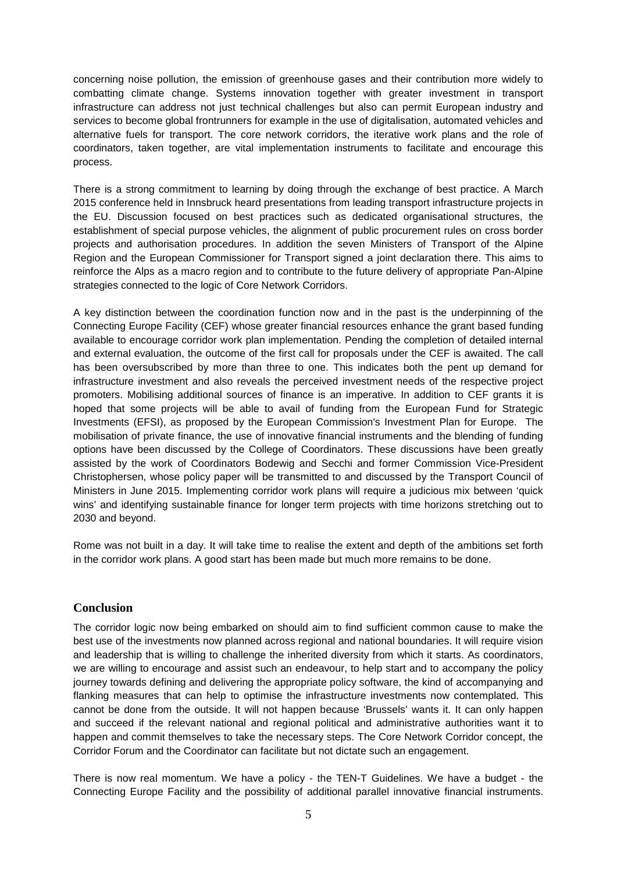concerning noise pollution, the emission of greenhouse gases and their contribution more widely to combatting climate change. Systems innovation together with greater investment in transport infrastructure can address not just technical challenges but also can permit European industry and services to become global frontrunners for example in the use of digitalisation, automated vehicles and alternative fuels for transport. The core network corridors, the iterative work plans and the role of coordinators, taken together, are vital implementation instruments to facilitate and encourage this process.

There is a strong commitment to learning by doing through the exchange of best practice. A March 2015 conference held in Innsbruck heard presentations from leading transport infrastructure projects in the EU. Discussion focused on best practices such as dedicated organisational structures, the establishment of special purpose vehicles, the alignment of public procurement rules on cross border projects and authorisation procedures. In addition the seven Ministers of Transport of the Alpine Region and the European Commissioner for Transport signed a joint declaration there. This aims to reinforce the Alps as a macro region and to contribute to the future delivery of appropriate Pan-Alpine strategies connected to the logic of Core Network Corridors.

A key distinction between the coordination function now and in the past is the underpinning of the Connecting Europe Facility (CEF) whose greater financial resources enhance the grant based funding available to encourage corridor work plan implementation. Pending the completion of detailed internal and external evaluation, the outcome of the first call for proposals under the CEF is awaited. The call has been oversubscribed by more than three to one. This indicates both the pent up demand for infrastructure investment and also reveals the perceived investment needs of the respective project promoters. Mobilising additional sources of finance is an imperative. In addition to CEF grants it is hoped that some projects will be able to avail of funding from the European Fund for Strategic Investments (EFSI), as proposed by the European Commission's Investment Plan for Europe. The mobilisation of private finance, the use of innovative financial instruments and the blending of funding options have been discussed by the College of Coordinators. These discussions have been greatly assisted by the work of Coordinators Bodewig and Secchi and former Commission Vice-President Christophersen, whose policy paper will be transmitted to and discussed by the Transport Council of Ministers in June 2015. Implementing corridor work plans will require a judicious mix between 'quick wins' and identifying sustainable finance for longer term projects with time horizons stretching out to 2030 and beyond.

Rome was not built in a day. It will take time to realise the extent and depth of the ambitions set forth in the corridor work plans. A good start has been made but much more remains to be done.

#### <span id="page-6-0"></span>**Conclusion**

The corridor logic now being embarked on should aim to find sufficient common cause to make the best use of the investments now planned across regional and national boundaries. It will require vision and leadership that is willing to challenge the inherited diversity from which it starts. As coordinators, we are willing to encourage and assist such an endeavour, to help start and to accompany the policy journey towards defining and delivering the appropriate policy software, the kind of accompanying and flanking measures that can help to optimise the infrastructure investments now contemplated. This cannot be done from the outside. It will not happen because 'Brussels' wants it. It can only happen and succeed if the relevant national and regional political and administrative authorities want it to happen and commit themselves to take the necessary steps. The Core Network Corridor concept, the Corridor Forum and the Coordinator can facilitate but not dictate such an engagement.

There is now real momentum. We have a policy - the TEN-T Guidelines. We have a budget - the Connecting Europe Facility and the possibility of additional parallel innovative financial instruments.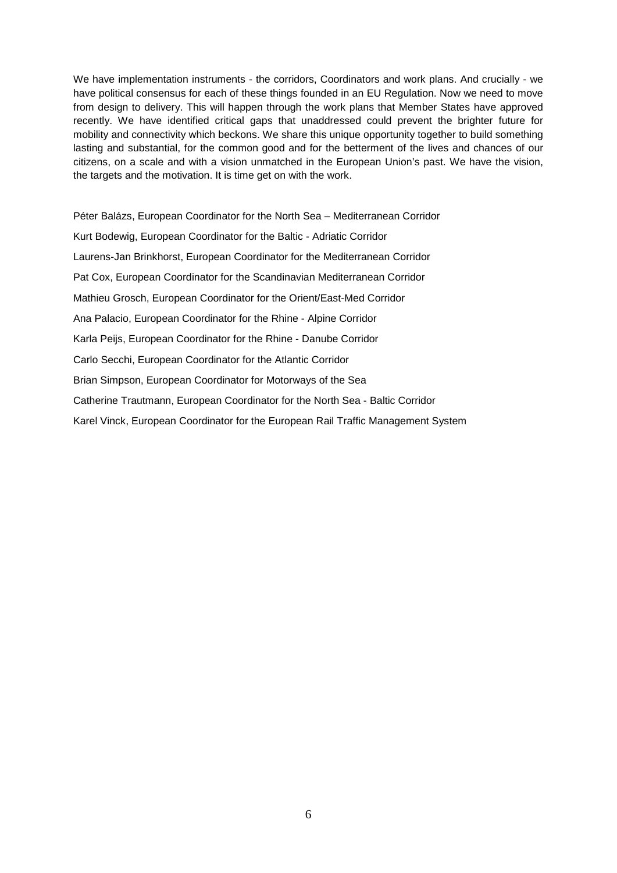We have implementation instruments - the corridors, Coordinators and work plans. And crucially - we have political consensus for each of these things founded in an EU Regulation. Now we need to move from design to delivery. This will happen through the work plans that Member States have approved recently. We have identified critical gaps that unaddressed could prevent the brighter future for mobility and connectivity which beckons. We share this unique opportunity together to build something lasting and substantial, for the common good and for the betterment of the lives and chances of our citizens, on a scale and with a vision unmatched in the European Union's past. We have the vision, the targets and the motivation. It is time get on with the work.

Péter Balázs, European Coordinator for the North Sea – Mediterranean Corridor Kurt Bodewig, European Coordinator for the Baltic - Adriatic Corridor Laurens-Jan Brinkhorst, European Coordinator for the Mediterranean Corridor Pat Cox, European Coordinator for the Scandinavian Mediterranean Corridor Mathieu Grosch, European Coordinator for the Orient/East-Med Corridor Ana Palacio, European Coordinator for the Rhine - Alpine Corridor Karla Peijs, European Coordinator for the Rhine - Danube Corridor Carlo Secchi, European Coordinator for the Atlantic Corridor Brian Simpson, European Coordinator for Motorways of the Sea Catherine Trautmann, European Coordinator for the North Sea - Baltic Corridor Karel Vinck, European Coordinator for the European Rail Traffic Management System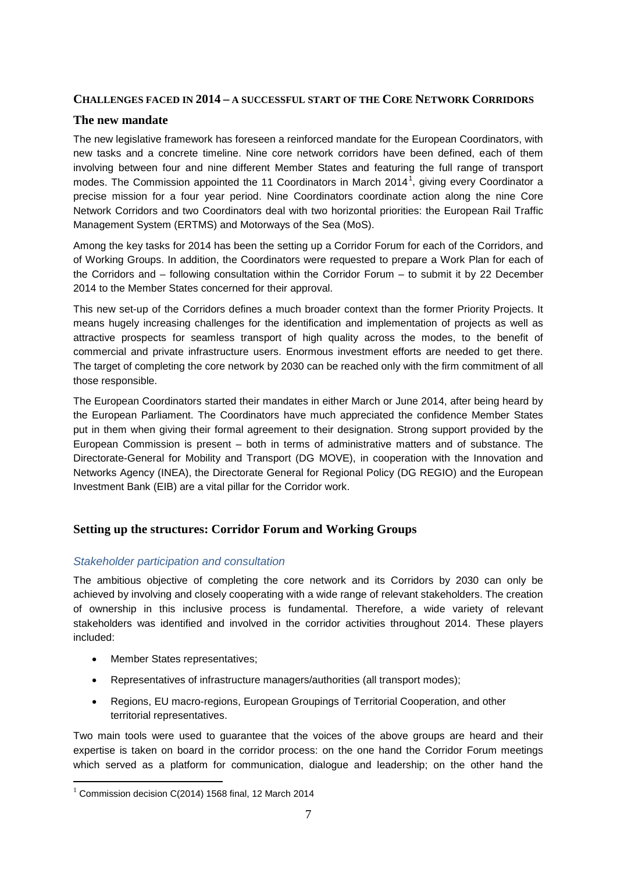#### <span id="page-8-0"></span>**CHALLENGES FACED IN 2014 – A SUCCESSFUL START OF THE CORE NETWORK CORRIDORS**

#### <span id="page-8-1"></span>**The new mandate**

The new legislative framework has foreseen a reinforced mandate for the European Coordinators, with new tasks and a concrete timeline. Nine core network corridors have been defined, each of them involving between four and nine different Member States and featuring the full range of transport modes. The Commission appointed the [1](#page-8-4)1 Coordinators in March 2014<sup>1</sup>, giving every Coordinator a precise mission for a four year period. Nine Coordinators coordinate action along the nine Core Network Corridors and two Coordinators deal with two horizontal priorities: the European Rail Traffic Management System (ERTMS) and Motorways of the Sea (MoS).

Among the key tasks for 2014 has been the setting up a Corridor Forum for each of the Corridors, and of Working Groups. In addition, the Coordinators were requested to prepare a Work Plan for each of the Corridors and – following consultation within the Corridor Forum – to submit it by 22 December 2014 to the Member States concerned for their approval.

This new set-up of the Corridors defines a much broader context than the former Priority Projects. It means hugely increasing challenges for the identification and implementation of projects as well as attractive prospects for seamless transport of high quality across the modes, to the benefit of commercial and private infrastructure users. Enormous investment efforts are needed to get there. The target of completing the core network by 2030 can be reached only with the firm commitment of all those responsible.

The European Coordinators started their mandates in either March or June 2014, after being heard by the European Parliament. The Coordinators have much appreciated the confidence Member States put in them when giving their formal agreement to their designation. Strong support provided by the European Commission is present – both in terms of administrative matters and of substance. The Directorate-General for Mobility and Transport (DG MOVE), in cooperation with the Innovation and Networks Agency (INEA), the Directorate General for Regional Policy (DG REGIO) and the European Investment Bank (EIB) are a vital pillar for the Corridor work.

#### <span id="page-8-2"></span>**Setting up the structures: Corridor Forum and Working Groups**

#### <span id="page-8-3"></span>*Stakeholder participation and consultation*

The ambitious objective of completing the core network and its Corridors by 2030 can only be achieved by involving and closely cooperating with a wide range of relevant stakeholders. The creation of ownership in this inclusive process is fundamental. Therefore, a wide variety of relevant stakeholders was identified and involved in the corridor activities throughout 2014. These players included:

- Member States representatives;
- Representatives of infrastructure managers/authorities (all transport modes);
- Regions, EU macro-regions, European Groupings of Territorial Cooperation, and other territorial representatives.

Two main tools were used to guarantee that the voices of the above groups are heard and their expertise is taken on board in the corridor process: on the one hand the Corridor Forum meetings which served as a platform for communication, dialogue and leadership; on the other hand the

<span id="page-8-4"></span> $1$  Commission decision C(2014) 1568 final, 12 March 2014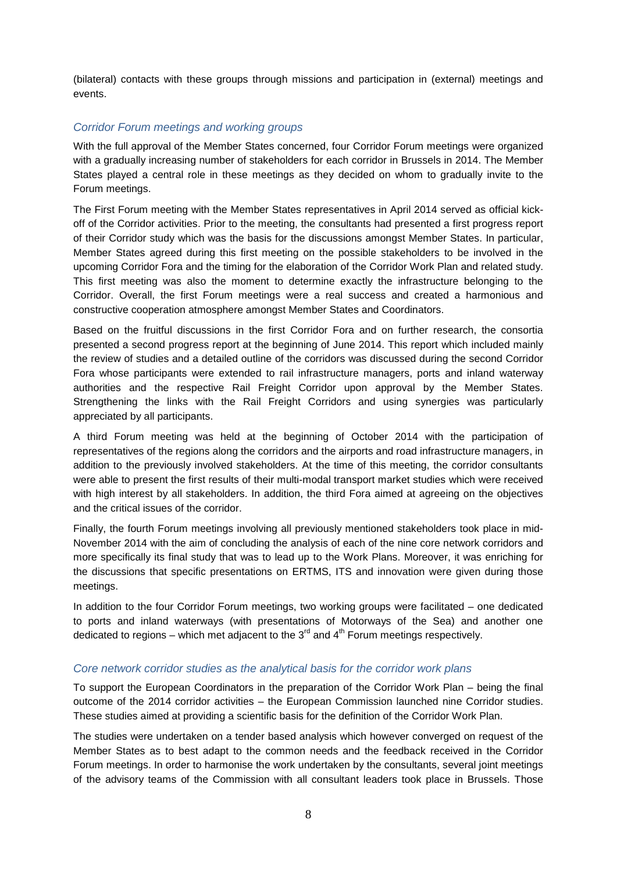(bilateral) contacts with these groups through missions and participation in (external) meetings and events.

#### <span id="page-9-0"></span>*Corridor Forum meetings and working groups*

With the full approval of the Member States concerned, four Corridor Forum meetings were organized with a gradually increasing number of stakeholders for each corridor in Brussels in 2014. The Member States played a central role in these meetings as they decided on whom to gradually invite to the Forum meetings.

The First Forum meeting with the Member States representatives in April 2014 served as official kickoff of the Corridor activities. Prior to the meeting, the consultants had presented a first progress report of their Corridor study which was the basis for the discussions amongst Member States. In particular, Member States agreed during this first meeting on the possible stakeholders to be involved in the upcoming Corridor Fora and the timing for the elaboration of the Corridor Work Plan and related study. This first meeting was also the moment to determine exactly the infrastructure belonging to the Corridor. Overall, the first Forum meetings were a real success and created a harmonious and constructive cooperation atmosphere amongst Member States and Coordinators.

Based on the fruitful discussions in the first Corridor Fora and on further research, the consortia presented a second progress report at the beginning of June 2014. This report which included mainly the review of studies and a detailed outline of the corridors was discussed during the second Corridor Fora whose participants were extended to rail infrastructure managers, ports and inland waterway authorities and the respective Rail Freight Corridor upon approval by the Member States. Strengthening the links with the Rail Freight Corridors and using synergies was particularly appreciated by all participants.

A third Forum meeting was held at the beginning of October 2014 with the participation of representatives of the regions along the corridors and the airports and road infrastructure managers, in addition to the previously involved stakeholders. At the time of this meeting, the corridor consultants were able to present the first results of their multi-modal transport market studies which were received with high interest by all stakeholders. In addition, the third Fora aimed at agreeing on the objectives and the critical issues of the corridor.

Finally, the fourth Forum meetings involving all previously mentioned stakeholders took place in mid-November 2014 with the aim of concluding the analysis of each of the nine core network corridors and more specifically its final study that was to lead up to the Work Plans. Moreover, it was enriching for the discussions that specific presentations on ERTMS, ITS and innovation were given during those meetings.

In addition to the four Corridor Forum meetings, two working groups were facilitated – one dedicated to ports and inland waterways (with presentations of Motorways of the Sea) and another one dedicated to regions – which met adjacent to the  $3<sup>rd</sup>$  and  $4<sup>th</sup>$  Forum meetings respectively.

#### <span id="page-9-1"></span>*Core network corridor studies as the analytical basis for the corridor work plans*

To support the European Coordinators in the preparation of the Corridor Work Plan – being the final outcome of the 2014 corridor activities – the European Commission launched nine Corridor studies. These studies aimed at providing a scientific basis for the definition of the Corridor Work Plan.

The studies were undertaken on a tender based analysis which however converged on request of the Member States as to best adapt to the common needs and the feedback received in the Corridor Forum meetings. In order to harmonise the work undertaken by the consultants, several joint meetings of the advisory teams of the Commission with all consultant leaders took place in Brussels. Those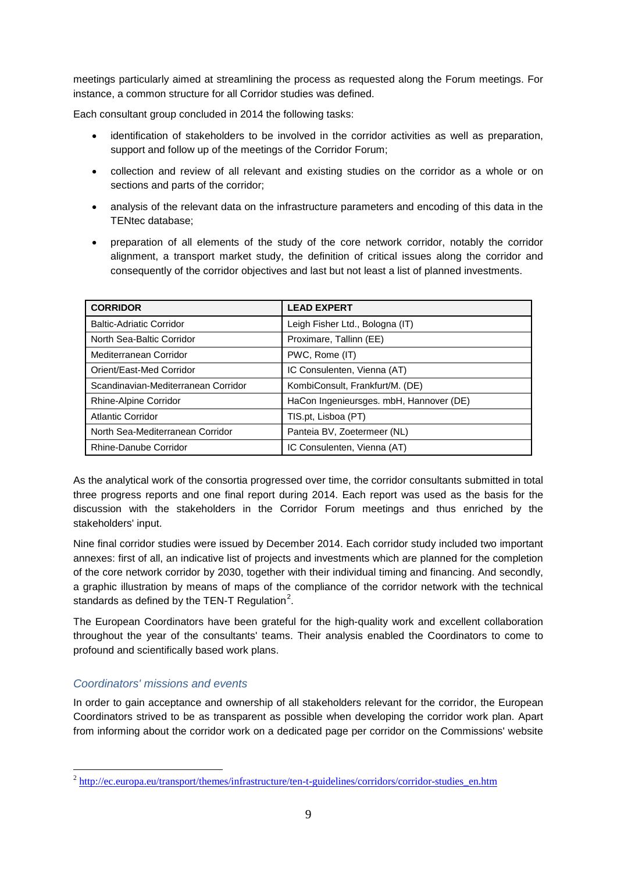meetings particularly aimed at streamlining the process as requested along the Forum meetings. For instance, a common structure for all Corridor studies was defined.

Each consultant group concluded in 2014 the following tasks:

- identification of stakeholders to be involved in the corridor activities as well as preparation, support and follow up of the meetings of the Corridor Forum;
- collection and review of all relevant and existing studies on the corridor as a whole or on sections and parts of the corridor;
- analysis of the relevant data on the infrastructure parameters and encoding of this data in the TENtec database;
- preparation of all elements of the study of the core network corridor, notably the corridor alignment, a transport market study, the definition of critical issues along the corridor and consequently of the corridor objectives and last but not least a list of planned investments.

| <b>CORRIDOR</b>                     | <b>LEAD EXPERT</b>                      |  |
|-------------------------------------|-----------------------------------------|--|
| <b>Baltic-Adriatic Corridor</b>     | Leigh Fisher Ltd., Bologna (IT)         |  |
| North Sea-Baltic Corridor           | Proximare, Tallinn (EE)                 |  |
| Mediterranean Corridor              | PWC, Rome (IT)                          |  |
| Orient/East-Med Corridor            | IC Consulenten, Vienna (AT)             |  |
| Scandinavian-Mediterranean Corridor | KombiConsult, Frankfurt/M. (DE)         |  |
| Rhine-Alpine Corridor               | HaCon Ingenieursges. mbH, Hannover (DE) |  |
| <b>Atlantic Corridor</b>            | TIS.pt, Lisboa (PT)                     |  |
| North Sea-Mediterranean Corridor    | Panteia BV, Zoetermeer (NL)             |  |
| Rhine-Danube Corridor               | IC Consulenten, Vienna (AT)             |  |

As the analytical work of the consortia progressed over time, the corridor consultants submitted in total three progress reports and one final report during 2014. Each report was used as the basis for the discussion with the stakeholders in the Corridor Forum meetings and thus enriched by the stakeholders' input.

Nine final corridor studies were issued by December 2014. Each corridor study included two important annexes: first of all, an indicative list of projects and investments which are planned for the completion of the core network corridor by 2030, together with their individual timing and financing. And secondly, a graphic illustration by means of maps of the compliance of the corridor network with the technical standards as defined by the TEN-T Regulation $^2$  $^2$ .

The European Coordinators have been grateful for the high-quality work and excellent collaboration throughout the year of the consultants' teams. Their analysis enabled the Coordinators to come to profound and scientifically based work plans.

#### <span id="page-10-0"></span>*Coordinators' missions and events*

In order to gain acceptance and ownership of all stakeholders relevant for the corridor, the European Coordinators strived to be as transparent as possible when developing the corridor work plan. Apart from informing about the corridor work on a dedicated page per corridor on the Commissions' website

<span id="page-10-1"></span><sup>&</sup>lt;sup>2</sup> http://ec.eu<u>ropa.eu/transport/themes/infrastructure/ten-t-guidelines/corridors/corridor-studies\_en.htm</u>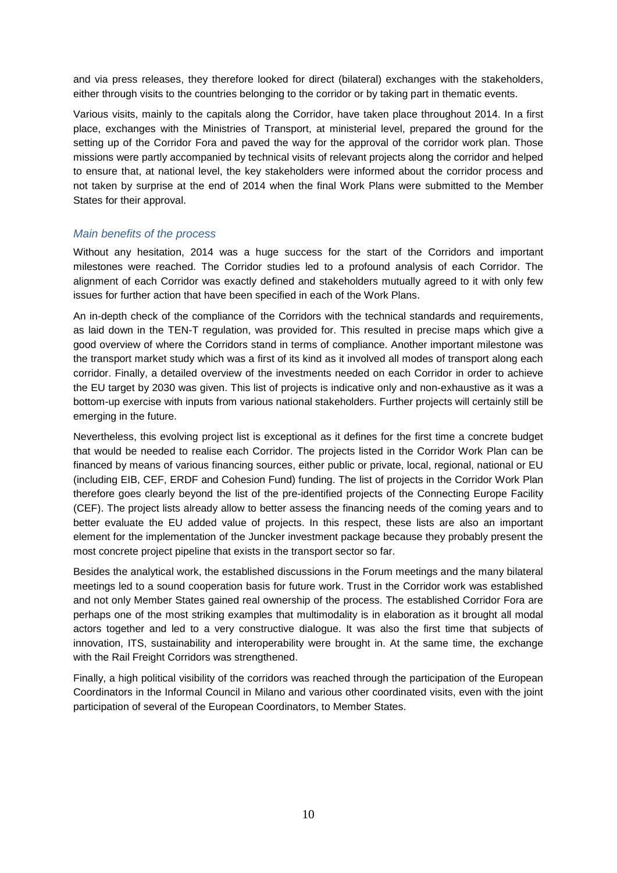and via press releases, they therefore looked for direct (bilateral) exchanges with the stakeholders, either through visits to the countries belonging to the corridor or by taking part in thematic events.

Various visits, mainly to the capitals along the Corridor, have taken place throughout 2014. In a first place, exchanges with the Ministries of Transport, at ministerial level, prepared the ground for the setting up of the Corridor Fora and paved the way for the approval of the corridor work plan. Those missions were partly accompanied by technical visits of relevant projects along the corridor and helped to ensure that, at national level, the key stakeholders were informed about the corridor process and not taken by surprise at the end of 2014 when the final Work Plans were submitted to the Member States for their approval.

#### <span id="page-11-0"></span>*Main benefits of the process*

Without any hesitation, 2014 was a huge success for the start of the Corridors and important milestones were reached. The Corridor studies led to a profound analysis of each Corridor. The alignment of each Corridor was exactly defined and stakeholders mutually agreed to it with only few issues for further action that have been specified in each of the Work Plans.

An in-depth check of the compliance of the Corridors with the technical standards and requirements, as laid down in the TEN-T regulation, was provided for. This resulted in precise maps which give a good overview of where the Corridors stand in terms of compliance. Another important milestone was the transport market study which was a first of its kind as it involved all modes of transport along each corridor. Finally, a detailed overview of the investments needed on each Corridor in order to achieve the EU target by 2030 was given. This list of projects is indicative only and non-exhaustive as it was a bottom-up exercise with inputs from various national stakeholders. Further projects will certainly still be emerging in the future.

Nevertheless, this evolving project list is exceptional as it defines for the first time a concrete budget that would be needed to realise each Corridor. The projects listed in the Corridor Work Plan can be financed by means of various financing sources, either public or private, local, regional, national or EU (including EIB, CEF, ERDF and Cohesion Fund) funding. The list of projects in the Corridor Work Plan therefore goes clearly beyond the list of the pre-identified projects of the Connecting Europe Facility (CEF). The project lists already allow to better assess the financing needs of the coming years and to better evaluate the EU added value of projects. In this respect, these lists are also an important element for the implementation of the Juncker investment package because they probably present the most concrete project pipeline that exists in the transport sector so far.

Besides the analytical work, the established discussions in the Forum meetings and the many bilateral meetings led to a sound cooperation basis for future work. Trust in the Corridor work was established and not only Member States gained real ownership of the process. The established Corridor Fora are perhaps one of the most striking examples that multimodality is in elaboration as it brought all modal actors together and led to a very constructive dialogue. It was also the first time that subjects of innovation, ITS, sustainability and interoperability were brought in. At the same time, the exchange with the Rail Freight Corridors was strengthened.

Finally, a high political visibility of the corridors was reached through the participation of the European Coordinators in the Informal Council in Milano and various other coordinated visits, even with the joint participation of several of the European Coordinators, to Member States.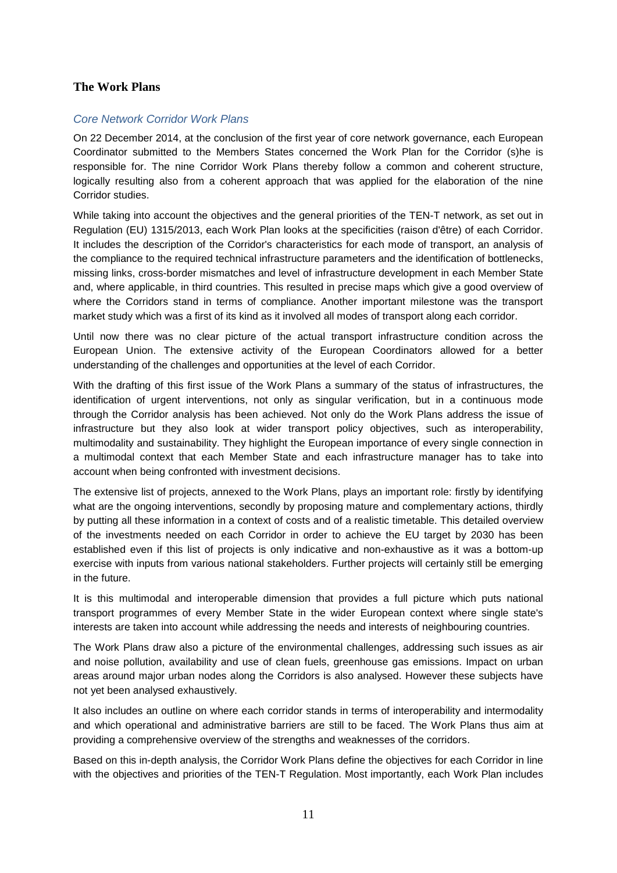#### <span id="page-12-0"></span>**The Work Plans**

#### <span id="page-12-1"></span>*Core Network Corridor Work Plans*

On 22 December 2014, at the conclusion of the first year of core network governance, each European Coordinator submitted to the Members States concerned the Work Plan for the Corridor (s)he is responsible for. The nine Corridor Work Plans thereby follow a common and coherent structure, logically resulting also from a coherent approach that was applied for the elaboration of the nine Corridor studies.

While taking into account the objectives and the general priorities of the TEN-T network, as set out in Regulation (EU) 1315/2013, each Work Plan looks at the specificities (raison d'être) of each Corridor. It includes the description of the Corridor's characteristics for each mode of transport, an analysis of the compliance to the required technical infrastructure parameters and the identification of bottlenecks, missing links, cross-border mismatches and level of infrastructure development in each Member State and, where applicable, in third countries. This resulted in precise maps which give a good overview of where the Corridors stand in terms of compliance. Another important milestone was the transport market study which was a first of its kind as it involved all modes of transport along each corridor.

Until now there was no clear picture of the actual transport infrastructure condition across the European Union. The extensive activity of the European Coordinators allowed for a better understanding of the challenges and opportunities at the level of each Corridor.

With the drafting of this first issue of the Work Plans a summary of the status of infrastructures, the identification of urgent interventions, not only as singular verification, but in a continuous mode through the Corridor analysis has been achieved. Not only do the Work Plans address the issue of infrastructure but they also look at wider transport policy objectives, such as interoperability, multimodality and sustainability. They highlight the European importance of every single connection in a multimodal context that each Member State and each infrastructure manager has to take into account when being confronted with investment decisions.

The extensive list of projects, annexed to the Work Plans, plays an important role: firstly by identifying what are the ongoing interventions, secondly by proposing mature and complementary actions, thirdly by putting all these information in a context of costs and of a realistic timetable. This detailed overview of the investments needed on each Corridor in order to achieve the EU target by 2030 has been established even if this list of projects is only indicative and non-exhaustive as it was a bottom-up exercise with inputs from various national stakeholders. Further projects will certainly still be emerging in the future.

It is this multimodal and interoperable dimension that provides a full picture which puts national transport programmes of every Member State in the wider European context where single state's interests are taken into account while addressing the needs and interests of neighbouring countries.

The Work Plans draw also a picture of the environmental challenges, addressing such issues as air and noise pollution, availability and use of clean fuels, greenhouse gas emissions. Impact on urban areas around major urban nodes along the Corridors is also analysed. However these subjects have not yet been analysed exhaustively.

It also includes an outline on where each corridor stands in terms of interoperability and intermodality and which operational and administrative barriers are still to be faced. The Work Plans thus aim at providing a comprehensive overview of the strengths and weaknesses of the corridors.

Based on this in-depth analysis, the Corridor Work Plans define the objectives for each Corridor in line with the objectives and priorities of the TEN-T Regulation. Most importantly, each Work Plan includes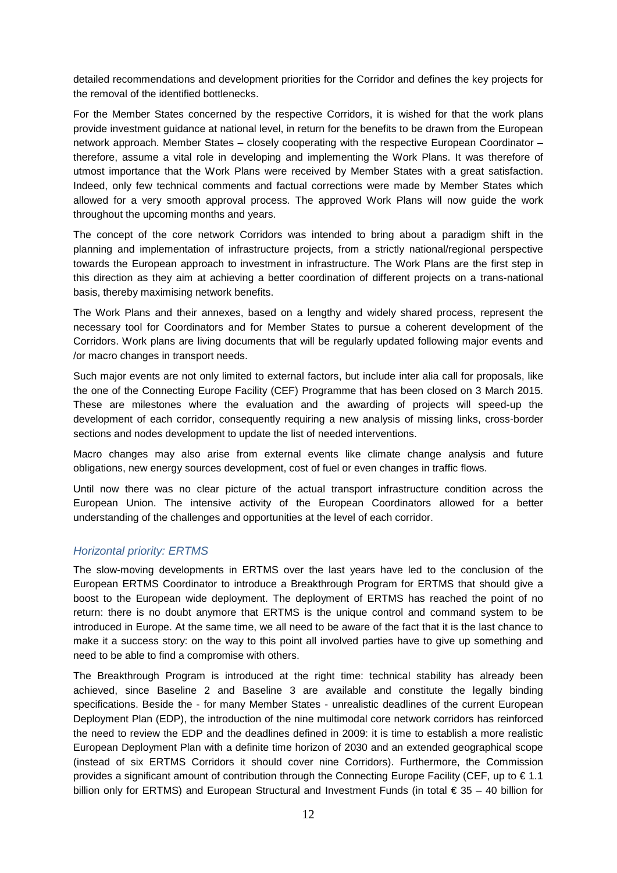detailed recommendations and development priorities for the Corridor and defines the key projects for the removal of the identified bottlenecks.

For the Member States concerned by the respective Corridors, it is wished for that the work plans provide investment guidance at national level, in return for the benefits to be drawn from the European network approach. Member States – closely cooperating with the respective European Coordinator – therefore, assume a vital role in developing and implementing the Work Plans. It was therefore of utmost importance that the Work Plans were received by Member States with a great satisfaction. Indeed, only few technical comments and factual corrections were made by Member States which allowed for a very smooth approval process. The approved Work Plans will now guide the work throughout the upcoming months and years.

The concept of the core network Corridors was intended to bring about a paradigm shift in the planning and implementation of infrastructure projects, from a strictly national/regional perspective towards the European approach to investment in infrastructure. The Work Plans are the first step in this direction as they aim at achieving a better coordination of different projects on a trans-national basis, thereby maximising network benefits.

The Work Plans and their annexes, based on a lengthy and widely shared process, represent the necessary tool for Coordinators and for Member States to pursue a coherent development of the Corridors. Work plans are living documents that will be regularly updated following major events and /or macro changes in transport needs.

Such major events are not only limited to external factors, but include inter alia call for proposals, like the one of the Connecting Europe Facility (CEF) Programme that has been closed on 3 March 2015. These are milestones where the evaluation and the awarding of projects will speed-up the development of each corridor, consequently requiring a new analysis of missing links, cross-border sections and nodes development to update the list of needed interventions.

Macro changes may also arise from external events like climate change analysis and future obligations, new energy sources development, cost of fuel or even changes in traffic flows.

Until now there was no clear picture of the actual transport infrastructure condition across the European Union. The intensive activity of the European Coordinators allowed for a better understanding of the challenges and opportunities at the level of each corridor.

#### <span id="page-13-0"></span>*Horizontal priority: ERTMS*

The slow-moving developments in ERTMS over the last years have led to the conclusion of the European ERTMS Coordinator to introduce a Breakthrough Program for ERTMS that should give a boost to the European wide deployment. The deployment of ERTMS has reached the point of no return: there is no doubt anymore that ERTMS is the unique control and command system to be introduced in Europe. At the same time, we all need to be aware of the fact that it is the last chance to make it a success story: on the way to this point all involved parties have to give up something and need to be able to find a compromise with others.

The Breakthrough Program is introduced at the right time: technical stability has already been achieved, since Baseline 2 and Baseline 3 are available and constitute the legally binding specifications. Beside the - for many Member States - unrealistic deadlines of the current European Deployment Plan (EDP), the introduction of the nine multimodal core network corridors has reinforced the need to review the EDP and the deadlines defined in 2009: it is time to establish a more realistic European Deployment Plan with a definite time horizon of 2030 and an extended geographical scope (instead of six ERTMS Corridors it should cover nine Corridors). Furthermore, the Commission provides a significant amount of contribution through the Connecting Europe Facility (CEF, up to  $\in$  1.1 billion only for ERTMS) and European Structural and Investment Funds (in total € 35 – 40 billion for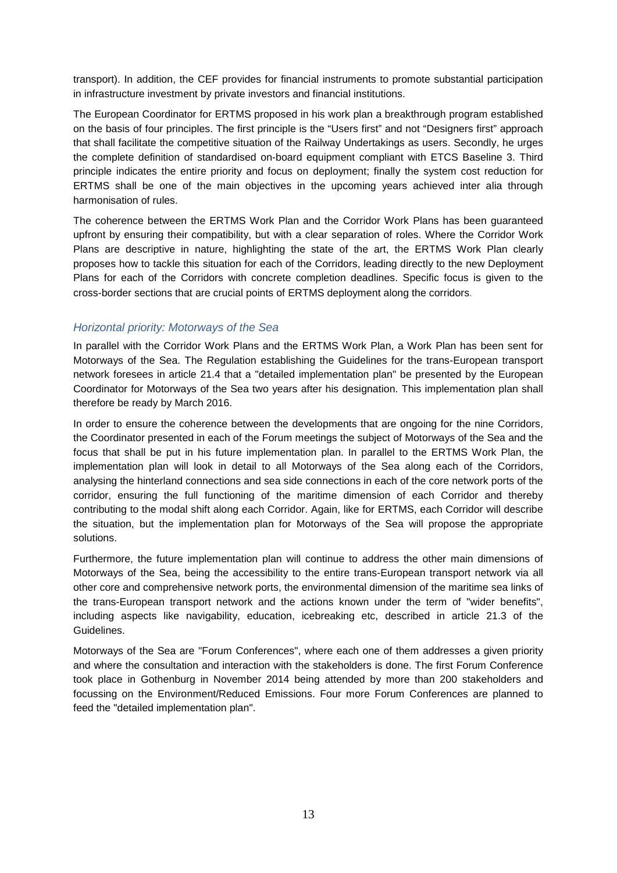transport). In addition, the CEF provides for financial instruments to promote substantial participation in infrastructure investment by private investors and financial institutions.

The European Coordinator for ERTMS proposed in his work plan a breakthrough program established on the basis of four principles. The first principle is the "Users first" and not "Designers first" approach that shall facilitate the competitive situation of the Railway Undertakings as users. Secondly, he urges the complete definition of standardised on-board equipment compliant with ETCS Baseline 3. Third principle indicates the entire priority and focus on deployment; finally the system cost reduction for ERTMS shall be one of the main objectives in the upcoming years achieved inter alia through harmonisation of rules.

The coherence between the ERTMS Work Plan and the Corridor Work Plans has been guaranteed upfront by ensuring their compatibility, but with a clear separation of roles. Where the Corridor Work Plans are descriptive in nature, highlighting the state of the art, the ERTMS Work Plan clearly proposes how to tackle this situation for each of the Corridors, leading directly to the new Deployment Plans for each of the Corridors with concrete completion deadlines. Specific focus is given to the cross-border sections that are crucial points of ERTMS deployment along the corridors*.*

#### <span id="page-14-0"></span>*Horizontal priority: Motorways of the Sea*

In parallel with the Corridor Work Plans and the ERTMS Work Plan, a Work Plan has been sent for Motorways of the Sea. The Regulation establishing the Guidelines for the trans-European transport network foresees in article 21.4 that a "detailed implementation plan" be presented by the European Coordinator for Motorways of the Sea two years after his designation. This implementation plan shall therefore be ready by March 2016.

In order to ensure the coherence between the developments that are ongoing for the nine Corridors, the Coordinator presented in each of the Forum meetings the subject of Motorways of the Sea and the focus that shall be put in his future implementation plan. In parallel to the ERTMS Work Plan, the implementation plan will look in detail to all Motorways of the Sea along each of the Corridors, analysing the hinterland connections and sea side connections in each of the core network ports of the corridor, ensuring the full functioning of the maritime dimension of each Corridor and thereby contributing to the modal shift along each Corridor. Again, like for ERTMS, each Corridor will describe the situation, but the implementation plan for Motorways of the Sea will propose the appropriate solutions.

Furthermore, the future implementation plan will continue to address the other main dimensions of Motorways of the Sea, being the accessibility to the entire trans-European transport network via all other core and comprehensive network ports, the environmental dimension of the maritime sea links of the trans-European transport network and the actions known under the term of "wider benefits", including aspects like navigability, education, icebreaking etc, described in article 21.3 of the Guidelines.

Motorways of the Sea are "Forum Conferences", where each one of them addresses a given priority and where the consultation and interaction with the stakeholders is done. The first Forum Conference took place in Gothenburg in November 2014 being attended by more than 200 stakeholders and focussing on the Environment/Reduced Emissions. Four more Forum Conferences are planned to feed the "detailed implementation plan".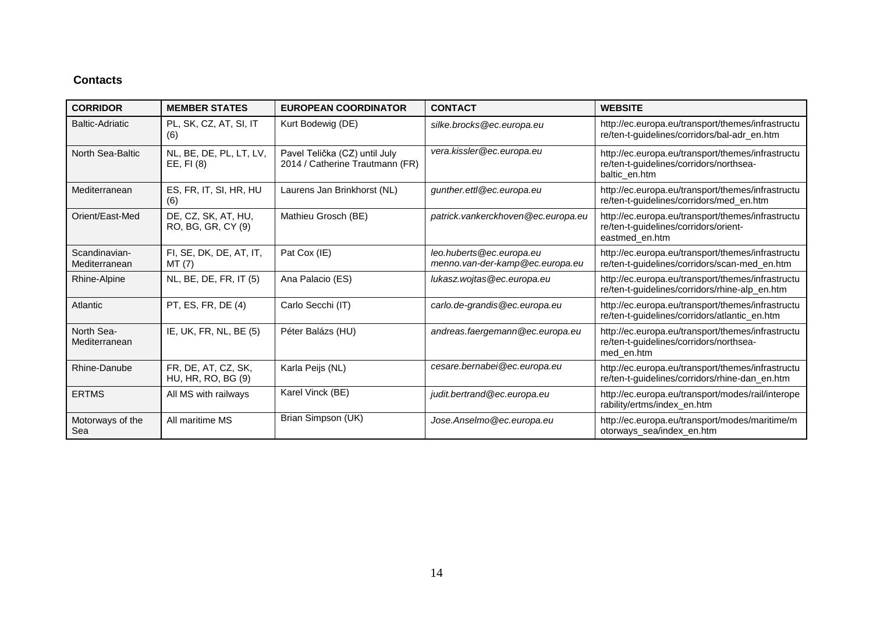### **Contacts**

| <b>CORRIDOR</b>                | <b>MEMBER STATES</b>                      | <b>EUROPEAN COORDINATOR</b>                                      | <b>CONTACT</b>                                              | <b>WEBSITE</b>                                                                                                |
|--------------------------------|-------------------------------------------|------------------------------------------------------------------|-------------------------------------------------------------|---------------------------------------------------------------------------------------------------------------|
| <b>Baltic-Adriatic</b>         | PL, SK, CZ, AT, SI, IT<br>(6)             | Kurt Bodewig (DE)                                                | silke.brocks@ec.europa.eu                                   | http://ec.europa.eu/transport/themes/infrastructu<br>re/ten-t-guidelines/corridors/bal-adr_en.htm             |
| North Sea-Baltic               | NL, BE, DE, PL, LT, LV,<br>EE, FI(8)      | Pavel Telička (CZ) until July<br>2014 / Catherine Trautmann (FR) | vera.kissler@ec.europa.eu                                   | http://ec.europa.eu/transport/themes/infrastructu<br>re/ten-t-guidelines/corridors/northsea-<br>baltic en.htm |
| Mediterranean                  | ES, FR, IT, SI, HR, HU<br>(6)             | Laurens Jan Brinkhorst (NL)                                      | gunther.ettl@ec.europa.eu                                   | http://ec.europa.eu/transport/themes/infrastructu<br>re/ten-t-guidelines/corridors/med_en.htm                 |
| Orient/East-Med                | DE, CZ, SK, AT, HU,<br>RO, BG, GR, CY (9) | Mathieu Grosch (BE)                                              | patrick.vankerckhoven@ec.europa.eu                          | http://ec.europa.eu/transport/themes/infrastructu<br>re/ten-t-guidelines/corridors/orient-<br>eastmed_en.htm  |
| Scandinavian-<br>Mediterranean | FI, SE, DK, DE, AT, IT,<br>MT(7)          | Pat Cox (IE)                                                     | leo.huberts@ec.europa.eu<br>menno.van-der-kamp@ec.europa.eu | http://ec.europa.eu/transport/themes/infrastructu<br>re/ten-t-guidelines/corridors/scan-med_en.htm            |
| Rhine-Alpine                   | NL, BE, DE, FR, IT (5)                    | Ana Palacio (ES)                                                 | lukasz.wojtas@ec.europa.eu                                  | http://ec.europa.eu/transport/themes/infrastructu<br>re/ten-t-guidelines/corridors/rhine-alp_en.htm           |
| Atlantic                       | PT, ES, FR, DE (4)                        | Carlo Secchi (IT)                                                | carlo.de-grandis@ec.europa.eu                               | http://ec.europa.eu/transport/themes/infrastructu<br>re/ten-t-guidelines/corridors/atlantic_en.htm            |
| North Sea-<br>Mediterranean    | IE, UK, FR, NL, BE (5)                    | Péter Balázs (HU)                                                | andreas.faergemann@ec.europa.eu                             | http://ec.europa.eu/transport/themes/infrastructu<br>re/ten-t-guidelines/corridors/northsea-<br>med_en.htm    |
| Rhine-Danube                   | FR, DE, AT, CZ, SK,<br>HU, HR, RO, BG (9) | Karla Peijs (NL)                                                 | cesare.bernabei@ec.europa.eu                                | http://ec.europa.eu/transport/themes/infrastructu<br>re/ten-t-guidelines/corridors/rhine-dan_en.htm           |
| <b>ERTMS</b>                   | All MS with railways                      | Karel Vinck (BE)                                                 | judit.bertrand@ec.europa.eu                                 | http://ec.europa.eu/transport/modes/rail/interope<br>rability/ertms/index_en.htm                              |
| Motorways of the<br>Sea        | All maritime MS                           | Brian Simpson (UK)                                               | Jose.Anselmo@ec.europa.eu                                   | http://ec.europa.eu/transport/modes/maritime/m<br>otorways_sea/index_en.htm                                   |